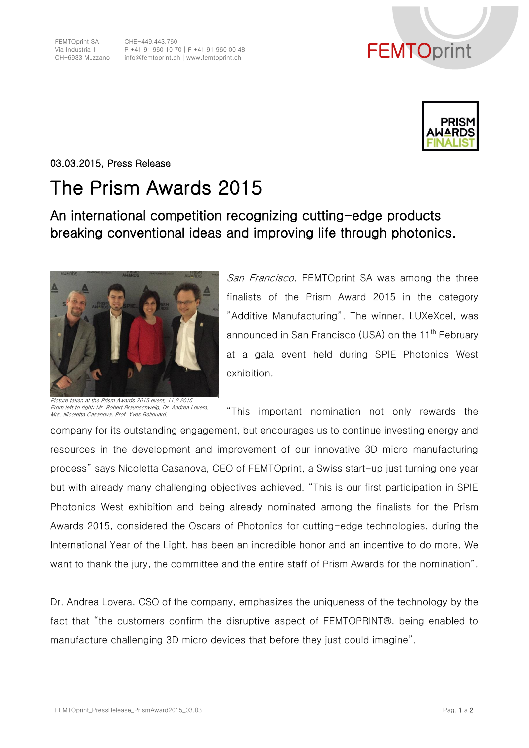



03.03.2015, Press Release

## The Prism Awards 2015

## An international competition recognizing cutting-edge products breaking conventional ideas and improving life through photonics.



Picture taken at the Prism Awards 2015 event, 11.2.2015. From left to right: Mr. Robert Braunschweig, Dr. Andrea Lovera, Mrs. Nicoletta Casanova, Prof. Yves Bellouard.

San Francisco. FEMTOprint SA was among the three finalists of the Prism Award 2015 in the category "Additive Manufacturing". The winner, LUXeXcel, was announced in San Francisco (USA) on the 11<sup>th</sup> February at a gala event held during SPIE Photonics West exhibition.

"This important nomination not only rewards the

company for its outstanding engagement, but encourages us to continue investing energy and resources in the development and improvement of our innovative 3D micro manufacturing process" says Nicoletta Casanova, CEO of FEMTOprint, a Swiss start-up just turning one year but with already many challenging objectives achieved. "This is our first participation in SPIE Photonics West exhibition and being already nominated among the finalists for the Prism Awards 2015, considered the Oscars of Photonics for cutting-edge technologies, during the International Year of the Light, has been an incredible honor and an incentive to do more. We want to thank the jury, the committee and the entire staff of Prism Awards for the nomination".

Dr. Andrea Lovera, CSO of the company, emphasizes the uniqueness of the technology by the fact that "the customers confirm the disruptive aspect of FEMTOPRINT®, being enabled to manufacture challenging 3D micro devices that before they just could imagine".